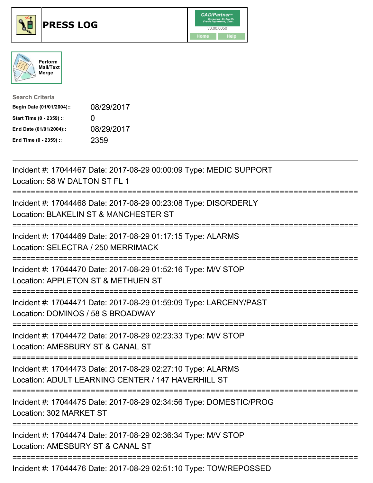





| <b>Search Criteria</b>    |                   |
|---------------------------|-------------------|
| Begin Date (01/01/2004):: | 08/29/2017        |
| Start Time (0 - 2359) ::  | $\mathbf{\Omega}$ |
| End Date (01/01/2004)::   | 08/29/2017        |
| End Time (0 - 2359) ::    | 2359              |

| Incident #: 17044467 Date: 2017-08-29 00:00:09 Type: MEDIC SUPPORT<br>Location: 58 W DALTON ST FL 1                                   |
|---------------------------------------------------------------------------------------------------------------------------------------|
| Incident #: 17044468 Date: 2017-08-29 00:23:08 Type: DISORDERLY<br>Location: BLAKELIN ST & MANCHESTER ST<br>==================        |
| Incident #: 17044469 Date: 2017-08-29 01:17:15 Type: ALARMS<br>Location: SELECTRA / 250 MERRIMACK                                     |
| Incident #: 17044470 Date: 2017-08-29 01:52:16 Type: M/V STOP<br>Location: APPLETON ST & METHUEN ST                                   |
| Incident #: 17044471 Date: 2017-08-29 01:59:09 Type: LARCENY/PAST<br>Location: DOMINOS / 58 S BROADWAY                                |
| Incident #: 17044472 Date: 2017-08-29 02:23:33 Type: M/V STOP<br>Location: AMESBURY ST & CANAL ST                                     |
| Incident #: 17044473 Date: 2017-08-29 02:27:10 Type: ALARMS<br>Location: ADULT LEARNING CENTER / 147 HAVERHILL ST                     |
| Incident #: 17044475 Date: 2017-08-29 02:34:56 Type: DOMESTIC/PROG<br>Location: 302 MARKET ST<br>:=================================== |
| Incident #: 17044474 Date: 2017-08-29 02:36:34 Type: M/V STOP<br>Location: AMESBURY ST & CANAL ST                                     |
| Incident #: 17044476 Date: 2017-08-29 02:51:10 Type: TOW/REPOSSED                                                                     |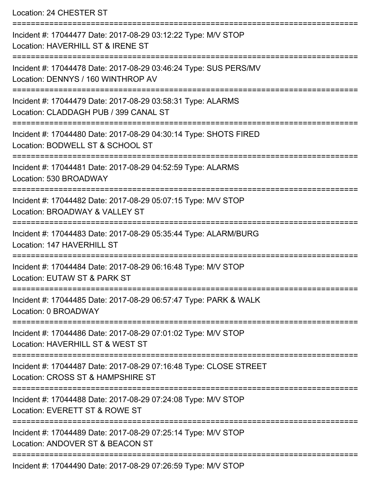Location: 24 CHESTER ST

| Incident #: 17044477 Date: 2017-08-29 03:12:22 Type: M/V STOP<br>Location: HAVERHILL ST & IRENE ST     |
|--------------------------------------------------------------------------------------------------------|
| Incident #: 17044478 Date: 2017-08-29 03:46:24 Type: SUS PERS/MV<br>Location: DENNYS / 160 WINTHROP AV |
| Incident #: 17044479 Date: 2017-08-29 03:58:31 Type: ALARMS<br>Location: CLADDAGH PUB / 399 CANAL ST   |
| Incident #: 17044480 Date: 2017-08-29 04:30:14 Type: SHOTS FIRED<br>Location: BODWELL ST & SCHOOL ST   |
| Incident #: 17044481 Date: 2017-08-29 04:52:59 Type: ALARMS<br>Location: 530 BROADWAY                  |
| Incident #: 17044482 Date: 2017-08-29 05:07:15 Type: M/V STOP<br>Location: BROADWAY & VALLEY ST        |
| Incident #: 17044483 Date: 2017-08-29 05:35:44 Type: ALARM/BURG<br>Location: 147 HAVERHILL ST          |
| Incident #: 17044484 Date: 2017-08-29 06:16:48 Type: M/V STOP<br>Location: EUTAW ST & PARK ST          |
| Incident #: 17044485 Date: 2017-08-29 06:57:47 Type: PARK & WALK<br>Location: 0 BROADWAY               |
| Incident #: 17044486 Date: 2017-08-29 07:01:02 Type: M/V STOP<br>Location: HAVERHILL ST & WEST ST      |
| Incident #: 17044487 Date: 2017-08-29 07:16:48 Type: CLOSE STREET<br>Location: CROSS ST & HAMPSHIRE ST |
| Incident #: 17044488 Date: 2017-08-29 07:24:08 Type: M/V STOP<br>Location: EVERETT ST & ROWE ST        |
| Incident #: 17044489 Date: 2017-08-29 07:25:14 Type: M/V STOP<br>Location: ANDOVER ST & BEACON ST      |
| Incident #: 17044490 Date: 2017-08-29 07:26:59 Type: M/V STOP                                          |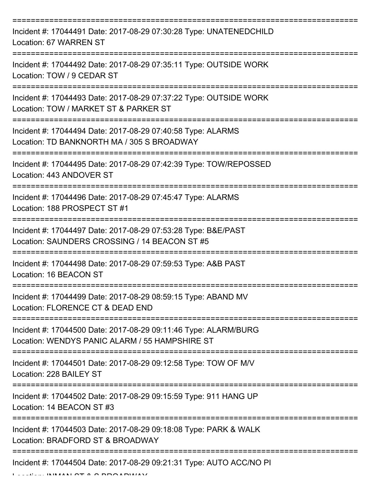| Incident #: 17044491 Date: 2017-08-29 07:30:28 Type: UNATENEDCHILD<br>Location: 67 WARREN ST                                                                |
|-------------------------------------------------------------------------------------------------------------------------------------------------------------|
| Incident #: 17044492 Date: 2017-08-29 07:35:11 Type: OUTSIDE WORK<br>Location: TOW / 9 CEDAR ST                                                             |
| Incident #: 17044493 Date: 2017-08-29 07:37:22 Type: OUTSIDE WORK<br>Location: TOW / MARKET ST & PARKER ST                                                  |
| Incident #: 17044494 Date: 2017-08-29 07:40:58 Type: ALARMS<br>Location: TD BANKNORTH MA / 305 S BROADWAY                                                   |
| Incident #: 17044495 Date: 2017-08-29 07:42:39 Type: TOW/REPOSSED<br>Location: 443 ANDOVER ST                                                               |
| Incident #: 17044496 Date: 2017-08-29 07:45:47 Type: ALARMS<br>Location: 188 PROSPECT ST #1                                                                 |
| Incident #: 17044497 Date: 2017-08-29 07:53:28 Type: B&E/PAST<br>Location: SAUNDERS CROSSING / 14 BEACON ST #5                                              |
| Incident #: 17044498 Date: 2017-08-29 07:59:53 Type: A&B PAST<br>Location: 16 BEACON ST                                                                     |
| Incident #: 17044499 Date: 2017-08-29 08:59:15 Type: ABAND MV<br>Location: FLORENCE CT & DEAD END                                                           |
| Incident #: 17044500 Date: 2017-08-29 09:11:46 Type: ALARM/BURG<br>Location: WENDYS PANIC ALARM / 55 HAMPSHIRE ST                                           |
| Incident #: 17044501 Date: 2017-08-29 09:12:58 Type: TOW OF M/V<br>Location: 228 BAILEY ST                                                                  |
| -----------------<br>-------------------------------------<br>Incident #: 17044502 Date: 2017-08-29 09:15:59 Type: 911 HANG UP<br>Location: 14 BEACON ST #3 |
| Incident #: 17044503 Date: 2017-08-29 09:18:08 Type: PARK & WALK<br>Location: BRADFORD ST & BROADWAY                                                        |
| Incident #: 17044504 Date: 2017-08-29 09:21:31 Type: AUTO ACC/NO PI<br>ILILIALI $\cap$ T A $\cap$ DD $\cap$ ADIAIAI                                         |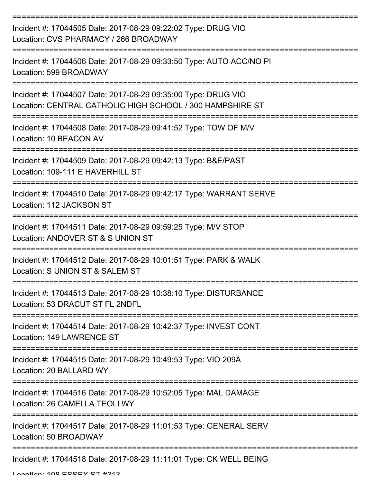| Incident #: 17044505 Date: 2017-08-29 09:22:02 Type: DRUG VIO<br>Location: CVS PHARMACY / 266 BROADWAY                     |
|----------------------------------------------------------------------------------------------------------------------------|
| Incident #: 17044506 Date: 2017-08-29 09:33:50 Type: AUTO ACC/NO PI<br>Location: 599 BROADWAY                              |
| Incident #: 17044507 Date: 2017-08-29 09:35:00 Type: DRUG VIO<br>Location: CENTRAL CATHOLIC HIGH SCHOOL / 300 HAMPSHIRE ST |
| Incident #: 17044508 Date: 2017-08-29 09:41:52 Type: TOW OF M/V<br>Location: 10 BEACON AV                                  |
| Incident #: 17044509 Date: 2017-08-29 09:42:13 Type: B&E/PAST<br>Location: 109-111 E HAVERHILL ST                          |
| Incident #: 17044510 Date: 2017-08-29 09:42:17 Type: WARRANT SERVE<br>Location: 112 JACKSON ST                             |
| Incident #: 17044511 Date: 2017-08-29 09:59:25 Type: M/V STOP<br>Location: ANDOVER ST & S UNION ST                         |
| Incident #: 17044512 Date: 2017-08-29 10:01:51 Type: PARK & WALK<br>Location: S UNION ST & SALEM ST                        |
| Incident #: 17044513 Date: 2017-08-29 10:38:10 Type: DISTURBANCE<br>Location: 53 DRACUT ST FL 2NDFL                        |
| Incident #: 17044514 Date: 2017-08-29 10:42:37 Type: INVEST CONT<br>Location: 149 LAWRENCE ST                              |
| Incident #: 17044515 Date: 2017-08-29 10:49:53 Type: VIO 209A<br>Location: 20 BALLARD WY                                   |
| Incident #: 17044516 Date: 2017-08-29 10:52:05 Type: MAL DAMAGE<br>Location: 26 CAMELLA TEOLI WY                           |
| Incident #: 17044517 Date: 2017-08-29 11:01:53 Type: GENERAL SERV<br>Location: 50 BROADWAY                                 |
| Incident #: 17044518 Date: 2017-08-29 11:11:01 Type: CK WELL BEING                                                         |

Location: 108 ECCEV CT #313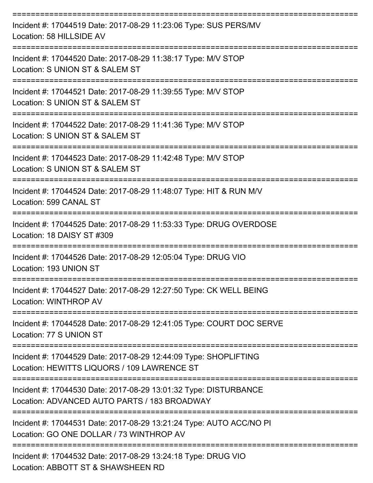| Incident #: 17044519 Date: 2017-08-29 11:23:06 Type: SUS PERS/MV<br>Location: 58 HILLSIDE AV                         |
|----------------------------------------------------------------------------------------------------------------------|
| Incident #: 17044520 Date: 2017-08-29 11:38:17 Type: M/V STOP<br>Location: S UNION ST & SALEM ST                     |
| Incident #: 17044521 Date: 2017-08-29 11:39:55 Type: M/V STOP<br>Location: S UNION ST & SALEM ST                     |
| Incident #: 17044522 Date: 2017-08-29 11:41:36 Type: M/V STOP<br>Location: S UNION ST & SALEM ST<br>---------------- |
| Incident #: 17044523 Date: 2017-08-29 11:42:48 Type: M/V STOP<br>Location: S UNION ST & SALEM ST                     |
| Incident #: 17044524 Date: 2017-08-29 11:48:07 Type: HIT & RUN M/V<br>Location: 599 CANAL ST<br>==================== |
| Incident #: 17044525 Date: 2017-08-29 11:53:33 Type: DRUG OVERDOSE<br>Location: 18 DAISY ST #309                     |
| Incident #: 17044526 Date: 2017-08-29 12:05:04 Type: DRUG VIO<br>Location: 193 UNION ST                              |
| Incident #: 17044527 Date: 2017-08-29 12:27:50 Type: CK WELL BEING<br>Location: WINTHROP AV                          |
| Incident #: 17044528 Date: 2017-08-29 12:41:05 Type: COURT DOC SERVE<br>Location: 77 S UNION ST                      |
| Incident #: 17044529 Date: 2017-08-29 12:44:09 Type: SHOPLIFTING<br>Location: HEWITTS LIQUORS / 109 LAWRENCE ST      |
| Incident #: 17044530 Date: 2017-08-29 13:01:32 Type: DISTURBANCE<br>Location: ADVANCED AUTO PARTS / 183 BROADWAY     |
| Incident #: 17044531 Date: 2017-08-29 13:21:24 Type: AUTO ACC/NO PI<br>Location: GO ONE DOLLAR / 73 WINTHROP AV      |
| Incident #: 17044532 Date: 2017-08-29 13:24:18 Type: DRUG VIO                                                        |

Location: ABBOTT ST & SHAWSHEEN RD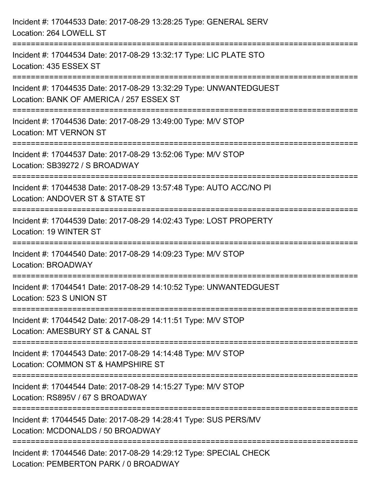| Incident #: 17044533 Date: 2017-08-29 13:28:25 Type: GENERAL SERV<br>Location: 264 LOWELL ST                                                                                 |
|------------------------------------------------------------------------------------------------------------------------------------------------------------------------------|
| ======================================<br>Incident #: 17044534 Date: 2017-08-29 13:32:17 Type: LIC PLATE STO<br>Location: 435 ESSEX ST<br>---------------------------------- |
| Incident #: 17044535 Date: 2017-08-29 13:32:29 Type: UNWANTEDGUEST<br>Location: BANK OF AMERICA / 257 ESSEX ST                                                               |
| Incident #: 17044536 Date: 2017-08-29 13:49:00 Type: M/V STOP<br><b>Location: MT VERNON ST</b>                                                                               |
| Incident #: 17044537 Date: 2017-08-29 13:52:06 Type: M/V STOP<br>Location: SB39272 / S BROADWAY                                                                              |
| Incident #: 17044538 Date: 2017-08-29 13:57:48 Type: AUTO ACC/NO PI<br>Location: ANDOVER ST & STATE ST<br>---------------------                                              |
| Incident #: 17044539 Date: 2017-08-29 14:02:43 Type: LOST PROPERTY<br>Location: 19 WINTER ST                                                                                 |
| Incident #: 17044540 Date: 2017-08-29 14:09:23 Type: M/V STOP<br>Location: BROADWAY                                                                                          |
| Incident #: 17044541 Date: 2017-08-29 14:10:52 Type: UNWANTEDGUEST<br>Location: 523 S UNION ST                                                                               |
| Incident #: 17044542 Date: 2017-08-29 14:11:51 Type: M/V STOP<br>Location: AMESBURY ST & CANAL ST                                                                            |
| Incident #: 17044543 Date: 2017-08-29 14:14:48 Type: M/V STOP<br>Location: COMMON ST & HAMPSHIRE ST                                                                          |
| ----------------------------<br>Incident #: 17044544 Date: 2017-08-29 14:15:27 Type: M/V STOP<br>Location: RS895V / 67 S BROADWAY                                            |
| Incident #: 17044545 Date: 2017-08-29 14:28:41 Type: SUS PERS/MV<br>Location: MCDONALDS / 50 BROADWAY                                                                        |
| Incident #: 17044546 Date: 2017-08-29 14:29:12 Type: SPECIAL CHECK<br>Location: PEMBERTON PARK / 0 BROADWAY                                                                  |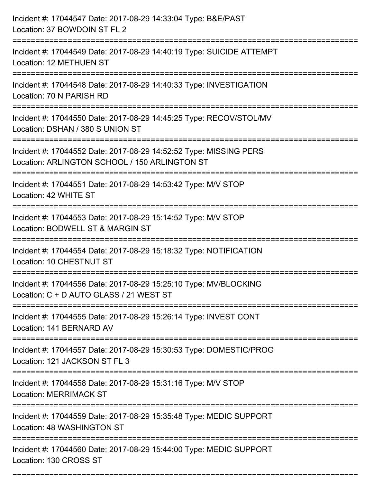| Incident #: 17044547 Date: 2017-08-29 14:33:04 Type: B&E/PAST<br>Location: 37 BOWDOIN ST FL 2                                                     |
|---------------------------------------------------------------------------------------------------------------------------------------------------|
| Incident #: 17044549 Date: 2017-08-29 14:40:19 Type: SUICIDE ATTEMPT<br>Location: 12 METHUEN ST                                                   |
| Incident #: 17044548 Date: 2017-08-29 14:40:33 Type: INVESTIGATION<br>Location: 70 N PARISH RD                                                    |
| Incident #: 17044550 Date: 2017-08-29 14:45:25 Type: RECOV/STOL/MV<br>Location: DSHAN / 380 S UNION ST                                            |
| Incident #: 17044552 Date: 2017-08-29 14:52:52 Type: MISSING PERS<br>Location: ARLINGTON SCHOOL / 150 ARLINGTON ST<br>=========================== |
| Incident #: 17044551 Date: 2017-08-29 14:53:42 Type: M/V STOP<br>Location: 42 WHITE ST                                                            |
| Incident #: 17044553 Date: 2017-08-29 15:14:52 Type: M/V STOP<br>Location: BODWELL ST & MARGIN ST                                                 |
| Incident #: 17044554 Date: 2017-08-29 15:18:32 Type: NOTIFICATION<br><b>Location: 10 CHESTNUT ST</b>                                              |
| Incident #: 17044556 Date: 2017-08-29 15:25:10 Type: MV/BLOCKING<br>Location: C + D AUTO GLASS / 21 WEST ST                                       |
| Incident #: 17044555 Date: 2017-08-29 15:26:14 Type: INVEST CONT<br>Location: 141 BERNARD AV                                                      |
| Incident #: 17044557 Date: 2017-08-29 15:30:53 Type: DOMESTIC/PROG<br>Location: 121 JACKSON ST FL 3                                               |
| Incident #: 17044558 Date: 2017-08-29 15:31:16 Type: M/V STOP<br><b>Location: MERRIMACK ST</b>                                                    |
| Incident #: 17044559 Date: 2017-08-29 15:35:48 Type: MEDIC SUPPORT<br>Location: 48 WASHINGTON ST                                                  |
| Incident #: 17044560 Date: 2017-08-29 15:44:00 Type: MEDIC SUPPORT<br>Location: 130 CROSS ST                                                      |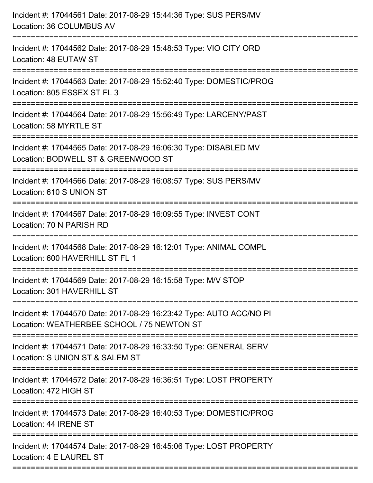| Incident #: 17044561 Date: 2017-08-29 15:44:36 Type: SUS PERS/MV<br>Location: 36 COLUMBUS AV                                        |
|-------------------------------------------------------------------------------------------------------------------------------------|
| ==============================<br>Incident #: 17044562 Date: 2017-08-29 15:48:53 Type: VIO CITY ORD<br>Location: 48 EUTAW ST        |
| Incident #: 17044563 Date: 2017-08-29 15:52:40 Type: DOMESTIC/PROG<br>Location: 805 ESSEX ST FL 3<br>===================            |
| Incident #: 17044564 Date: 2017-08-29 15:56:49 Type: LARCENY/PAST<br>Location: 58 MYRTLE ST<br>----------------------               |
| Incident #: 17044565 Date: 2017-08-29 16:06:30 Type: DISABLED MV<br>Location: BODWELL ST & GREENWOOD ST                             |
| Incident #: 17044566 Date: 2017-08-29 16:08:57 Type: SUS PERS/MV<br>Location: 610 S UNION ST<br>:================================== |
| Incident #: 17044567 Date: 2017-08-29 16:09:55 Type: INVEST CONT<br>Location: 70 N PARISH RD                                        |
| Incident #: 17044568 Date: 2017-08-29 16:12:01 Type: ANIMAL COMPL<br>Location: 600 HAVERHILL ST FL 1                                |
| Incident #: 17044569 Date: 2017-08-29 16:15:58 Type: M/V STOP<br>Location: 301 HAVERHILL ST                                         |
| Incident #: 17044570 Date: 2017-08-29 16:23:42 Type: AUTO ACC/NO PI<br>Location: WEATHERBEE SCHOOL / 75 NEWTON ST                   |
| Incident #: 17044571 Date: 2017-08-29 16:33:50 Type: GENERAL SERV<br>Location: S UNION ST & SALEM ST                                |
| Incident #: 17044572 Date: 2017-08-29 16:36:51 Type: LOST PROPERTY<br>Location: 472 HIGH ST                                         |
| Incident #: 17044573 Date: 2017-08-29 16:40:53 Type: DOMESTIC/PROG<br>Location: 44 IRENE ST                                         |
| Incident #: 17044574 Date: 2017-08-29 16:45:06 Type: LOST PROPERTY<br>Location: 4 E LAUREL ST                                       |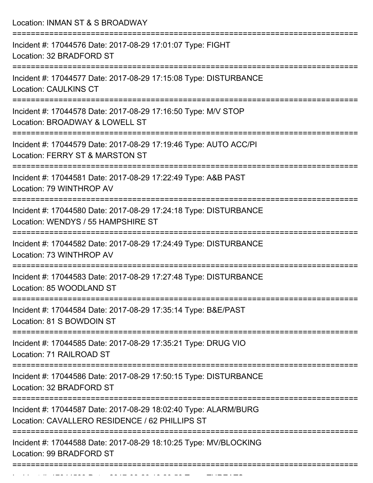Location: INMAN ST & S BROADWAY =========================================================================== Incident #: 17044576 Date: 2017-08-29 17:01:07 Type: FIGHT Location: 32 BRADFORD ST =========================================================================== Incident #: 17044577 Date: 2017-08-29 17:15:08 Type: DISTURBANCE Location: CAULKINS CT =========================================================================== Incident #: 17044578 Date: 2017-08-29 17:16:50 Type: M/V STOP Location: BROADWAY & LOWELL ST =========================================================================== Incident #: 17044579 Date: 2017-08-29 17:19:46 Type: AUTO ACC/PI Location: FERRY ST & MARSTON ST =========================================================================== Incident #: 17044581 Date: 2017-08-29 17:22:49 Type: A&B PAST Location: 79 WINTHROP AV =========================================================================== Incident #: 17044580 Date: 2017-08-29 17:24:18 Type: DISTURBANCE Location: WENDYS / 55 HAMPSHIRE ST =========================================================================== Incident #: 17044582 Date: 2017-08-29 17:24:49 Type: DISTURBANCE Location: 73 WINTHROP AV =========================================================================== Incident #: 17044583 Date: 2017-08-29 17:27:48 Type: DISTURBANCE Location: 85 WOODLAND ST =========================================================================== Incident #: 17044584 Date: 2017-08-29 17:35:14 Type: B&E/PAST Location: 81 S BOWDOIN ST =========================================================================== Incident #: 17044585 Date: 2017-08-29 17:35:21 Type: DRUG VIO Location: 71 RAILROAD ST =========================================================================== Incident #: 17044586 Date: 2017-08-29 17:50:15 Type: DISTURBANCE Location: 32 BRADFORD ST =========================================================================== Incident #: 17044587 Date: 2017-08-29 18:02:40 Type: ALARM/BURG Location: CAVALLERO RESIDENCE / 62 PHILLIPS ST =========================================================================== Incident #: 17044588 Date: 2017-08-29 18:10:25 Type: MV/BLOCKING Location: 99 BRADFORD ST ===========================================================================

Incident #: 17044589 Date: 2017 08 29 18:20:58 Type: THREATS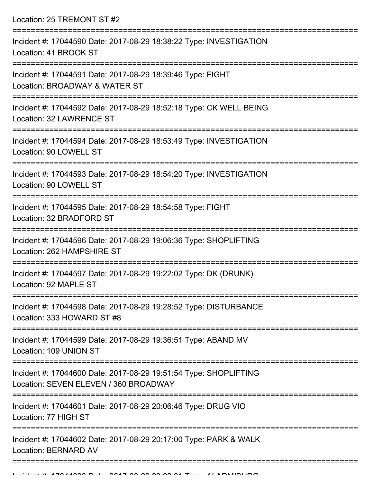Location: 25 TREMONT ST #2 =========================================================================== Incident #: 17044590 Date: 2017-08-29 18:38:22 Type: INVESTIGATION Location: 41 BROOK ST =========================================================================== Incident #: 17044591 Date: 2017-08-29 18:39:46 Type: FIGHT Location: BROADWAY & WATER ST =========================================================================== Incident #: 17044592 Date: 2017-08-29 18:52:18 Type: CK WELL BEING Location: 32 LAWRENCE ST =========================================================================== Incident #: 17044594 Date: 2017-08-29 18:53:49 Type: INVESTIGATION Location: 90 LOWELL ST =========================================================================== Incident #: 17044593 Date: 2017-08-29 18:54:20 Type: INVESTIGATION Location: 90 LOWELL ST =========================================================================== Incident #: 17044595 Date: 2017-08-29 18:54:58 Type: FIGHT Location: 32 BRADFORD ST =========================================================================== Incident #: 17044596 Date: 2017-08-29 19:06:36 Type: SHOPLIFTING Location: 262 HAMPSHIRE ST =========================================================================== Incident #: 17044597 Date: 2017-08-29 19:22:02 Type: DK (DRUNK) Location: 92 MAPLE ST =========================================================================== Incident #: 17044598 Date: 2017-08-29 19:28:52 Type: DISTURBANCE Location: 333 HOWARD ST #8 =========================================================================== Incident #: 17044599 Date: 2017-08-29 19:36:51 Type: ABAND MV Location: 109 UNION ST =========================================================================== Incident #: 17044600 Date: 2017-08-29 19:51:54 Type: SHOPLIFTING Location: SEVEN ELEVEN / 360 BROADWAY =========================================================================== Incident #: 17044601 Date: 2017-08-29 20:06:46 Type: DRUG VIO Location: 77 HIGH ST =========================================================================== Incident #: 17044602 Date: 2017-08-29 20:17:00 Type: PARK & WALK Location: BERNARD AV

===========================================================================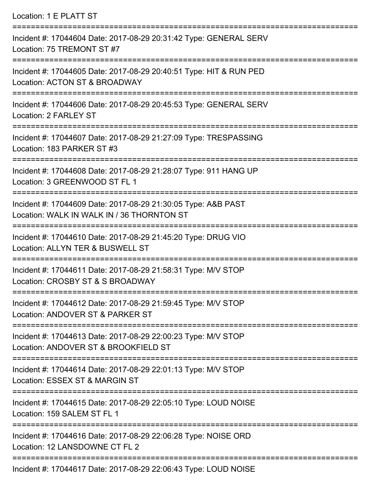Location: 1 E PLATT ST

| Incident #: 17044604 Date: 2017-08-29 20:31:42 Type: GENERAL SERV<br>Location: 75 TREMONT ST #7                                   |
|-----------------------------------------------------------------------------------------------------------------------------------|
| Incident #: 17044605 Date: 2017-08-29 20:40:51 Type: HIT & RUN PED<br>Location: ACTON ST & BROADWAY<br><u> ------------------</u> |
| Incident #: 17044606 Date: 2017-08-29 20:45:53 Type: GENERAL SERV<br>Location: 2 FARLEY ST                                        |
| Incident #: 17044607 Date: 2017-08-29 21:27:09 Type: TRESPASSING<br>Location: 183 PARKER ST #3                                    |
| Incident #: 17044608 Date: 2017-08-29 21:28:07 Type: 911 HANG UP<br>Location: 3 GREENWOOD ST FL 1                                 |
| Incident #: 17044609 Date: 2017-08-29 21:30:05 Type: A&B PAST<br>Location: WALK IN WALK IN / 36 THORNTON ST                       |
| Incident #: 17044610 Date: 2017-08-29 21:45:20 Type: DRUG VIO<br>Location: ALLYN TER & BUSWELL ST                                 |
| Incident #: 17044611 Date: 2017-08-29 21:58:31 Type: M/V STOP<br>Location: CROSBY ST & S BROADWAY                                 |
| =========================<br>Incident #: 17044612 Date: 2017-08-29 21:59:45 Type: M/V STOP<br>Location: ANDOVER ST & PARKER ST    |
| Incident #: 17044613 Date: 2017-08-29 22:00:23 Type: M/V STOP<br>Location: ANDOVER ST & BROOKFIELD ST                             |
| Incident #: 17044614 Date: 2017-08-29 22:01:13 Type: M/V STOP<br>Location: ESSEX ST & MARGIN ST                                   |
| --------<br>Incident #: 17044615 Date: 2017-08-29 22:05:10 Type: LOUD NOISE<br>Location: 159 SALEM ST FL 1                        |
| Incident #: 17044616 Date: 2017-08-29 22:06:28 Type: NOISE ORD<br>Location: 12 LANSDOWNE CT FL 2                                  |
| 7.0111.0017.00.00.001                                                                                                             |

Incident #: 17044617 Date: 2017-08-29 22:06:43 Type: LOUD NOISE